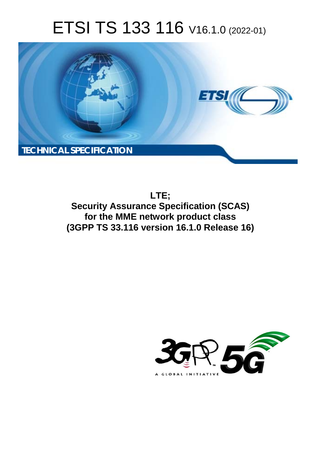# ETSI TS 133 116 V16.1.0 (2022-01)



**LTE; Security Assurance Specification (SCAS) for the MME network product class (3GPP TS 33.116 version 16.1.0 Release 16)** 

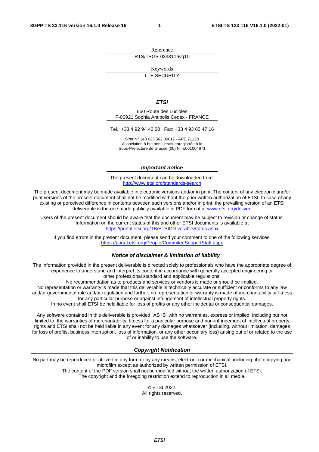Reference RTS/TSGS-0333116vg10

Keywords

LTE,SECURITY

#### *ETSI*

650 Route des Lucioles F-06921 Sophia Antipolis Cedex - FRANCE

Tel.: +33 4 92 94 42 00 Fax: +33 4 93 65 47 16

Siret N° 348 623 562 00017 - APE 7112B Association à but non lucratif enregistrée à la Sous-Préfecture de Grasse (06) N° w061004871

#### *Important notice*

The present document can be downloaded from: <http://www.etsi.org/standards-search>

The present document may be made available in electronic versions and/or in print. The content of any electronic and/or print versions of the present document shall not be modified without the prior written authorization of ETSI. In case of any existing or perceived difference in contents between such versions and/or in print, the prevailing version of an ETSI deliverable is the one made publicly available in PDF format at [www.etsi.org/deliver](http://www.etsi.org/deliver).

Users of the present document should be aware that the document may be subject to revision or change of status. Information on the current status of this and other ETSI documents is available at <https://portal.etsi.org/TB/ETSIDeliverableStatus.aspx>

If you find errors in the present document, please send your comment to one of the following services: <https://portal.etsi.org/People/CommiteeSupportStaff.aspx>

#### *Notice of disclaimer & limitation of liability*

The information provided in the present deliverable is directed solely to professionals who have the appropriate degree of experience to understand and interpret its content in accordance with generally accepted engineering or other professional standard and applicable regulations.

No recommendation as to products and services or vendors is made or should be implied.

No representation or warranty is made that this deliverable is technically accurate or sufficient or conforms to any law and/or governmental rule and/or regulation and further, no representation or warranty is made of merchantability or fitness for any particular purpose or against infringement of intellectual property rights.

In no event shall ETSI be held liable for loss of profits or any other incidental or consequential damages.

Any software contained in this deliverable is provided "AS IS" with no warranties, express or implied, including but not limited to, the warranties of merchantability, fitness for a particular purpose and non-infringement of intellectual property rights and ETSI shall not be held liable in any event for any damages whatsoever (including, without limitation, damages for loss of profits, business interruption, loss of information, or any other pecuniary loss) arising out of or related to the use of or inability to use the software.

#### *Copyright Notification*

No part may be reproduced or utilized in any form or by any means, electronic or mechanical, including photocopying and microfilm except as authorized by written permission of ETSI. The content of the PDF version shall not be modified without the written authorization of ETSI.

The copyright and the foregoing restriction extend to reproduction in all media.

© ETSI 2022. All rights reserved.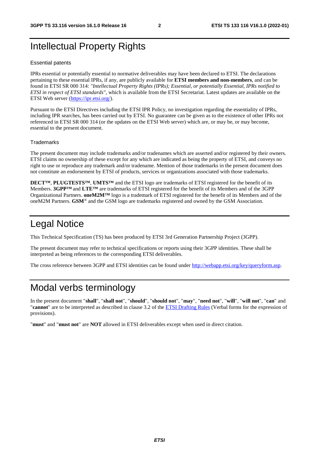# Intellectual Property Rights

#### Essential patents

IPRs essential or potentially essential to normative deliverables may have been declared to ETSI. The declarations pertaining to these essential IPRs, if any, are publicly available for **ETSI members and non-members**, and can be found in ETSI SR 000 314: *"Intellectual Property Rights (IPRs); Essential, or potentially Essential, IPRs notified to ETSI in respect of ETSI standards"*, which is available from the ETSI Secretariat. Latest updates are available on the ETSI Web server ([https://ipr.etsi.org/\)](https://ipr.etsi.org/).

Pursuant to the ETSI Directives including the ETSI IPR Policy, no investigation regarding the essentiality of IPRs, including IPR searches, has been carried out by ETSI. No guarantee can be given as to the existence of other IPRs not referenced in ETSI SR 000 314 (or the updates on the ETSI Web server) which are, or may be, or may become, essential to the present document.

#### **Trademarks**

The present document may include trademarks and/or tradenames which are asserted and/or registered by their owners. ETSI claims no ownership of these except for any which are indicated as being the property of ETSI, and conveys no right to use or reproduce any trademark and/or tradename. Mention of those trademarks in the present document does not constitute an endorsement by ETSI of products, services or organizations associated with those trademarks.

**DECT™**, **PLUGTESTS™**, **UMTS™** and the ETSI logo are trademarks of ETSI registered for the benefit of its Members. **3GPP™** and **LTE™** are trademarks of ETSI registered for the benefit of its Members and of the 3GPP Organizational Partners. **oneM2M™** logo is a trademark of ETSI registered for the benefit of its Members and of the oneM2M Partners. **GSM**® and the GSM logo are trademarks registered and owned by the GSM Association.

# Legal Notice

This Technical Specification (TS) has been produced by ETSI 3rd Generation Partnership Project (3GPP).

The present document may refer to technical specifications or reports using their 3GPP identities. These shall be interpreted as being references to the corresponding ETSI deliverables.

The cross reference between 3GPP and ETSI identities can be found under<http://webapp.etsi.org/key/queryform.asp>.

# Modal verbs terminology

In the present document "**shall**", "**shall not**", "**should**", "**should not**", "**may**", "**need not**", "**will**", "**will not**", "**can**" and "**cannot**" are to be interpreted as described in clause 3.2 of the [ETSI Drafting Rules](https://portal.etsi.org/Services/editHelp!/Howtostart/ETSIDraftingRules.aspx) (Verbal forms for the expression of provisions).

"**must**" and "**must not**" are **NOT** allowed in ETSI deliverables except when used in direct citation.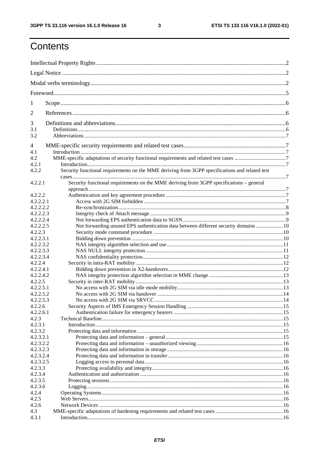$\mathbf{3}$ 

# Contents

| 1                      |                                                                                                |  |  |  |  |
|------------------------|------------------------------------------------------------------------------------------------|--|--|--|--|
| 2                      |                                                                                                |  |  |  |  |
| 3                      |                                                                                                |  |  |  |  |
| 3.1                    |                                                                                                |  |  |  |  |
| 3.2                    |                                                                                                |  |  |  |  |
| $\overline{4}$         |                                                                                                |  |  |  |  |
| 4.1                    |                                                                                                |  |  |  |  |
| 4.2                    |                                                                                                |  |  |  |  |
| 4.2.1                  |                                                                                                |  |  |  |  |
| 4.2.2                  | Security functional requirements on the MME deriving from 3GPP specifications and related test |  |  |  |  |
| 4.2.2.1                | Security functional requirements on the MME deriving from 3GPP specifications - general        |  |  |  |  |
|                        |                                                                                                |  |  |  |  |
| 4.2.2.2                |                                                                                                |  |  |  |  |
| 4.2.2.2.1<br>4.2.2.2.2 |                                                                                                |  |  |  |  |
| 4.2.2.2.3              |                                                                                                |  |  |  |  |
| 4.2.2.2.4              |                                                                                                |  |  |  |  |
| 4.2.2.2.5              | Not forwarding unused EPS authentication data between different security domains  10           |  |  |  |  |
| 4.2.2.3                |                                                                                                |  |  |  |  |
| 4.2.2.3.1              |                                                                                                |  |  |  |  |
| 4.2.2.3.2              |                                                                                                |  |  |  |  |
| 4.2.2.3.3              |                                                                                                |  |  |  |  |
| 4.2.2.3.4              |                                                                                                |  |  |  |  |
| 4.2.2.4                |                                                                                                |  |  |  |  |
| 4.2.2.4.1              |                                                                                                |  |  |  |  |
| 4.2.2.4.2              |                                                                                                |  |  |  |  |
| 4.2.2.5                |                                                                                                |  |  |  |  |
| 4.2.2.5.1              |                                                                                                |  |  |  |  |
| 4.2.2.5.2              |                                                                                                |  |  |  |  |
| 4.2.2.5.3              |                                                                                                |  |  |  |  |
| 4.2.2.6                |                                                                                                |  |  |  |  |
| 4.2.2.6.1              |                                                                                                |  |  |  |  |
| 4.2.3                  |                                                                                                |  |  |  |  |
| 4.2.3.1                |                                                                                                |  |  |  |  |
| 4.2.3.2                |                                                                                                |  |  |  |  |
| 4.2.3.2.1              |                                                                                                |  |  |  |  |
| 4.2.3.2.2              |                                                                                                |  |  |  |  |
| 4.2.3.2.3              |                                                                                                |  |  |  |  |
| 4.2.3.2.4              |                                                                                                |  |  |  |  |
| 4.2.3.2.5              |                                                                                                |  |  |  |  |
| 4.2.3.3                |                                                                                                |  |  |  |  |
| 4.2.3.4                |                                                                                                |  |  |  |  |
| 4.2.3.5                |                                                                                                |  |  |  |  |
| 4.2.3.6                |                                                                                                |  |  |  |  |
| 4.2.4                  |                                                                                                |  |  |  |  |
| 4.2.5                  |                                                                                                |  |  |  |  |
| 4.2.6                  |                                                                                                |  |  |  |  |
| 4.3                    |                                                                                                |  |  |  |  |
| 4.3.1                  |                                                                                                |  |  |  |  |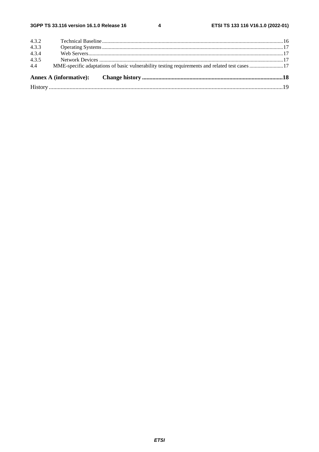$\overline{\mathbf{4}}$ 

| 4.4   |  |  |  |  |  |  |
|-------|--|--|--|--|--|--|
| 4.3.5 |  |  |  |  |  |  |
| 4.3.4 |  |  |  |  |  |  |
| 4.3.3 |  |  |  |  |  |  |
| 4.3.2 |  |  |  |  |  |  |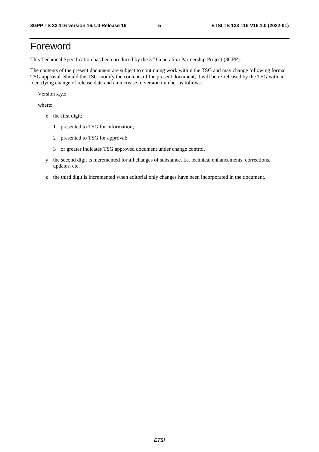# Foreword

This Technical Specification has been produced by the 3<sup>rd</sup> Generation Partnership Project (3GPP).

The contents of the present document are subject to continuing work within the TSG and may change following formal TSG approval. Should the TSG modify the contents of the present document, it will be re-released by the TSG with an identifying change of release date and an increase in version number as follows:

Version x.y.z

where:

- x the first digit:
	- 1 presented to TSG for information;
	- 2 presented to TSG for approval;
	- 3 or greater indicates TSG approved document under change control.
- y the second digit is incremented for all changes of substance, i.e. technical enhancements, corrections, updates, etc.
- z the third digit is incremented when editorial only changes have been incorporated in the document.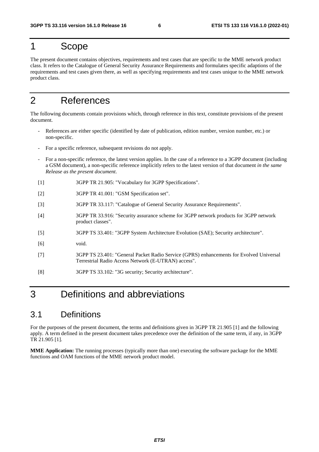# 1 Scope

The present document contains objectives, requirements and test cases that are specific to the MME network product class. It refers to the Catalogue of General Security Assurance Requirements and formulates specific adaptions of the requirements and test cases given there, as well as specifying requirements and test cases unique to the MME network product class.

# 2 References

The following documents contain provisions which, through reference in this text, constitute provisions of the present document.

- References are either specific (identified by date of publication, edition number, version number, etc.) or non-specific.
- For a specific reference, subsequent revisions do not apply.
- For a non-specific reference, the latest version applies. In the case of a reference to a 3GPP document (including a GSM document), a non-specific reference implicitly refers to the latest version of that document *in the same Release as the present document*.
- [1] 3GPP TR 21.905: "Vocabulary for 3GPP Specifications".
- [2] 3GPP TR 41.001: "GSM Specification set".
- [3] 3GPP TR 33.117: "Catalogue of General Security Assurance Requirements".
- [4] 3GPP TR 33.916: "Security assurance scheme for 3GPP network products for 3GPP network product classes".
- [5] 3GPP TS 33.401: "3GPP System Architecture Evolution (SAE); Security architecture".
- [6] void.
- [7] 3GPP TS 23.401: "General Packet Radio Service (GPRS) enhancements for Evolved Universal Terrestrial Radio Access Network (E-UTRAN) access".
- [8] 3GPP TS 33.102: "3G security; Security architecture".

# 3 Definitions and abbreviations

# 3.1 Definitions

For the purposes of the present document, the terms and definitions given in 3GPP TR 21.905 [1] and the following apply. A term defined in the present document takes precedence over the definition of the same term, if any, in 3GPP TR 21.905 [1].

**MME Application:** The running processes (typically more than one) executing the software package for the MME functions and OAM functions of the MME network product model.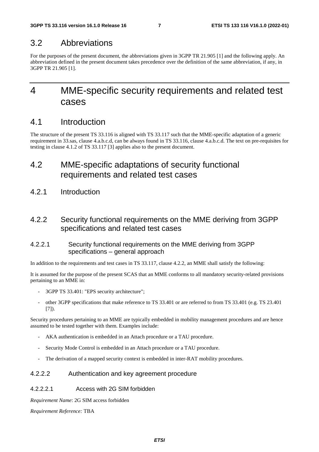# 3.2 Abbreviations

For the purposes of the present document, the abbreviations given in 3GPP TR 21.905 [1] and the following apply. An abbreviation defined in the present document takes precedence over the definition of the same abbreviation, if any, in 3GPP TR 21.905 [1].

# 4 MME-specific security requirements and related test cases

# 4.1 Introduction

The structure of the present TS 33.116 is aligned with TS 33.117 such that the MME-specific adaptation of a generic requirement in 33.sas, clause 4.a.b.c.d, can be always found in TS 33.116, clause 4.a.b.c.d. The text on pre-requisites for testing in clause 4.1.2 of TS 33.117 [3] applies also to the present document.

# 4.2 MME-specific adaptations of security functional requirements and related test cases

4.2.1 Introduction

# 4.2.2 Security functional requirements on the MME deriving from 3GPP specifications and related test cases

# 4.2.2.1 Security functional requirements on the MME deriving from 3GPP specifications – general approach

In addition to the requirements and test cases in TS 33.117, clause 4.2.2, an MME shall satisfy the following:

It is assumed for the purpose of the present SCAS that an MME conforms to all mandatory security-related provisions pertaining to an MME in:

- 3GPP TS 33.401: "EPS security architecture";
- other 3GPP specifications that make reference to TS 33.401 or are referred to from TS 33.401 (e.g. TS 23.401 [7]).

Security procedures pertaining to an MME are typically embedded in mobility management procedures and are hence assumed to be tested together with them. Examples include:

- AKA authentication is embedded in an Attach procedure or a TAU procedure.
- Security Mode Control is embedded in an Attach procedure or a TAU procedure.
- The derivation of a mapped security context is embedded in inter-RAT mobility procedures.

# 4.2.2.2 Authentication and key agreement procedure

### 4.2.2.2.1 Access with 2G SIM forbidden

*Requirement Name*: 2G SIM access forbidden

*Requirement Reference:* TBA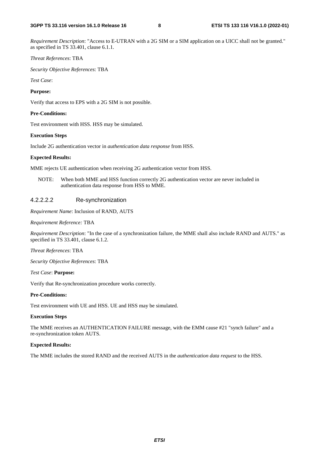*Requirement Description*: "Access to E-UTRAN with a 2G SIM or a SIM application on a UICC shall not be granted." as specified in TS 33.401, clause 6.1.1.

#### *Threat References*: TBA

*Security Objective References*: TBA

*Test Case*:

#### **Purpose:**

Verify that access to EPS with a 2G SIM is not possible.

#### **Pre-Conditions:**

Test environment with HSS. HSS may be simulated.

#### **Execution Steps**

Include 2G authentication vector in *authentication data response* from HSS.

#### **Expected Results:**

MME rejects UE authentication when receiving 2G authentication vector from HSS.

NOTE: When both MME and HSS function correctly 2G authentication vector are never included in authentication data response from HSS to MME.

#### 4.2.2.2.2 Re-synchronization

*Requirement Name*: Inclusion of RAND, AUTS

#### *Requirement Reference:* TBA

*Requirement Description*: "In the case of a synchronization failure, the MME shall also include RAND and AUTS." as specified in TS 33.401, clause 6.1.2.

*Threat References*: TBA

*Security Objective References*: TBA

*Test Case*: **Purpose:** 

Verify that Re-synchronization procedure works correctly.

#### **Pre-Conditions:**

Test environment with UE and HSS. UE and HSS may be simulated.

#### **Execution Steps**

The MME receives an AUTHENTICATION FAILURE message, with the EMM cause #21 "synch failure" and a re-synchronization token AUTS.

#### **Expected Results:**

The MME includes the stored RAND and the received AUTS in the *authentication data request* to the HSS.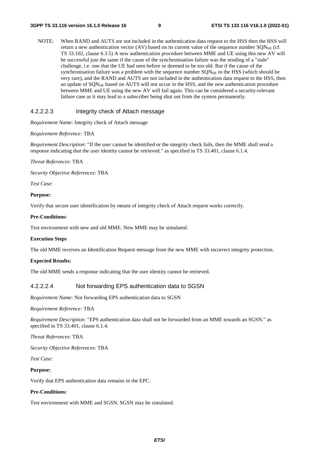NOTE: When RAND and AUTS are not included in the authentication data request to the HSS then the HSS will return a new authentication vector (AV) based on its current value of the sequence number  $\text{SQN}_{\text{HE}}$  (cf. TS 33.102, clause 6.3.5) A new authentication procedure between MME and UE using this new AV will be successful just the same if the cause of the synchronisation failure was the sending of a "stale" challenge, i.e. one that the UE had seen before or deemed to be too old. But if the cause of the synchronisation failure was a problem with the sequence number  $SON<sub>HE</sub>$  in the HSS (which should be very rare), and the RAND and AUTS are not included in the authentication data request to the HSS, then an update of SQN<sub>HE</sub> based on AUTS will not occur in the HSS, and the new authentication procedure between MME and UE using the new AV will fail again. This can be considered a security-relevant failure case as it may lead to a subscriber being shut out from the system permanently.

#### 4.2.2.2.3 Integrity check of Attach message

*Requirement Name*: Integrity check of Attach message

#### *Requirement Reference:* TBA

*Requirement Description*: "If the user cannot be identified or the integrity check fails, then the MME shall send a response indicating that the user identity cannot be retrieved." as specified in TS 33.401, clause 6.1.4.

*Threat References*: TBA

*Security Objective References*: TBA

*Test Case*:

#### **Purpose:**

Verify that secure user identification by means of integrity check of Attach request works correctly.

#### **Pre-Conditions:**

Test environment with new and old MME. New MME may be simulated.

#### **Execution Steps**

The old MME receives an Identification Request message from the new MME with incorrect integrity protection.

#### **Expected Results:**

The old MME sends a response indicating that the user identity cannot be retrieved.

#### 4.2.2.2.4 Not forwarding EPS authentication data to SGSN

*Requirement Name*: Not forwarding EPS authentication data to SGSN

*Requirement Reference:* TBA

*Requirement Description*: "EPS authentication data shall not be forwarded from an MME towards an SGSN." as specified in TS 33.401, clause 6.1.4.

*Threat References*: TBA

*Security Objective References*: TBA

*Test Case*:

#### **Purpose:**

Verify that EPS authentication data remains in the EPC.

#### **Pre-Conditions:**

Test environment with MME and SGSN. SGSN may be simulated.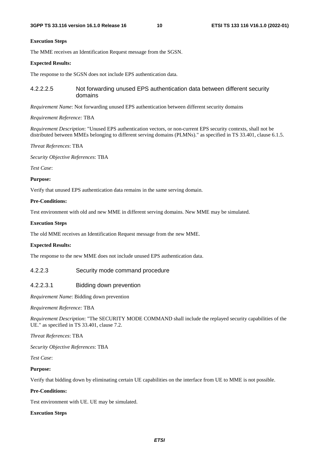#### **Execution Steps**

The MME receives an Identification Request message from the SGSN.

#### **Expected Results:**

The response to the SGSN does not include EPS authentication data.

#### 4.2.2.2.5 Not forwarding unused EPS authentication data between different security domains

*Requirement Name*: Not forwarding unused EPS authentication between different security domains

#### *Requirement Reference:* TBA

*Requirement Description*: "Unused EPS authentication vectors, or non-current EPS security contexts, shall not be distributed between MMEs belonging to different serving domains (PLMNs)." as specified in TS 33.401, clause 6.1.5.

*Threat References*: TBA

*Security Objective References*: TBA

*Test Case*:

#### **Purpose:**

Verify that unused EPS authentication data remains in the same serving domain.

#### **Pre-Conditions:**

Test environment with old and new MME in different serving domains. New MME may be simulated.

#### **Execution Steps**

The old MME receives an Identification Request message from the new MME.

#### **Expected Results:**

The response to the new MME does not include unused EPS authentication data.

#### 4.2.2.3 Security mode command procedure

#### 4.2.2.3.1 Bidding down prevention

*Requirement Name*: Bidding down prevention

*Requirement Reference:* TBA

*Requirement Description*: "The SECURITY MODE COMMAND shall include the replayed security capabilities of the UE." as specified in TS 33.401, clause 7.2.

*Threat References*: TBA

*Security Objective References*: TBA

*Test Case*:

#### **Purpose:**

Verify that bidding down by eliminating certain UE capabilities on the interface from UE to MME is not possible.

#### **Pre-Conditions:**

Test environment with UE. UE may be simulated.

#### **Execution Steps**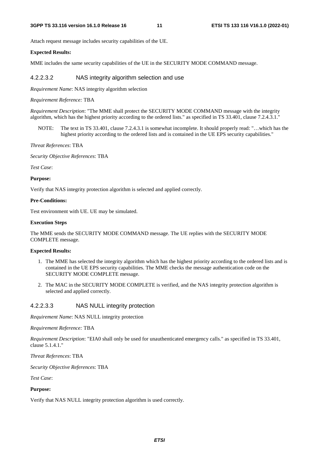Attach request message includes security capabilities of the UE.

#### **Expected Results:**

MME includes the same security capabilities of the UE in the SECURITY MODE COMMAND message.

#### 4.2.2.3.2 NAS integrity algorithm selection and use

*Requirement Name*: NAS integrity algorithm selection

#### *Requirement Reference:* TBA

*Requirement Description*: "The MME shall protect the SECURITY MODE COMMAND message with the integrity algorithm, which has the highest priority according to the ordered lists." as specified in TS 33.401, clause 7.2.4.3.1."

NOTE: The text in TS 33.401, clause 7.2.4.3.1 is somewhat incomplete. It should properly read: "…which has the highest priority according to the ordered lists and is contained in the UE EPS security capabilities."

*Threat References*: TBA

*Security Objective References*: TBA

*Test Case*:

#### **Purpose:**

Verify that NAS integrity protection algorithm is selected and applied correctly.

#### **Pre-Conditions:**

Test environment with UE. UE may be simulated.

#### **Execution Steps**

The MME sends the SECURITY MODE COMMAND message. The UE replies with the SECURITY MODE COMPLETE message.

#### **Expected Results:**

- 1. The MME has selected the integrity algorithm which has the highest priority according to the ordered lists and is contained in the UE EPS security capabilities. The MME checks the message authentication code on the SECURITY MODE COMPLETE message.
- 2. The MAC in the SECURITY MODE COMPLETE is verified, and the NAS integrity protection algorithm is selected and applied correctly.

#### 4.2.2.3.3 NAS NULL integrity protection

*Requirement Name*: NAS NULL integrity protection

#### *Requirement Reference:* TBA

*Requirement Description*: "EIA0 shall only be used for unauthenticated emergency calls." as specified in TS 33.401, clause 5.1.4.1."

*Threat References*: TBA

*Security Objective References*: TBA

*Test Case*:

#### **Purpose:**

Verify that NAS NULL integrity protection algorithm is used correctly.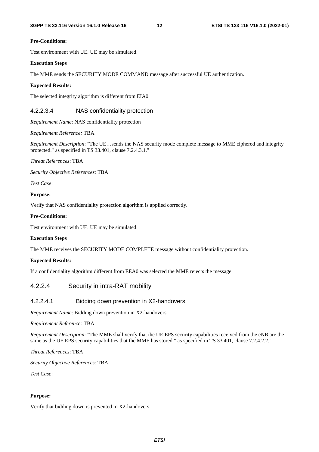#### **Pre-Conditions:**

Test environment with UE. UE may be simulated.

#### **Execution Steps**

The MME sends the SECURITY MODE COMMAND message after successful UE authentication.

#### **Expected Results:**

The selected integrity algorithm is different from EIA0.

### 4.2.2.3.4 NAS confidentiality protection

*Requirement Name*: NAS confidentiality protection

*Requirement Reference:* TBA

*Requirement Description*: "The UE…sends the NAS security mode complete message to MME ciphered and integrity protected." as specified in TS 33.401, clause 7.2.4.3.1."

#### *Threat References*: TBA

*Security Objective References*: TBA

*Test Case*:

#### **Purpose:**

Verify that NAS confidentiality protection algorithm is applied correctly.

#### **Pre-Conditions:**

Test environment with UE. UE may be simulated.

#### **Execution Steps**

The MME receives the SECURITY MODE COMPLETE message without confidentiality protection.

#### **Expected Results:**

If a confidentiality algorithm different from EEA0 was selected the MME rejects the message.

### 4.2.2.4 Security in intra-RAT mobility

#### 4.2.2.4.1 Bidding down prevention in X2-handovers

*Requirement Name*: Bidding down prevention in X2-handovers

*Requirement Reference:* TBA

*Requirement Description*: "The MME shall verify that the UE EPS security capabilities received from the eNB are the same as the UE EPS security capabilities that the MME has stored." as specified in TS 33.401, clause 7.2.4.2.2."

*Threat References*: TBA

*Security Objective References*: TBA

*Test Case*:

#### **Purpose:**

Verify that bidding down is prevented in X2-handovers.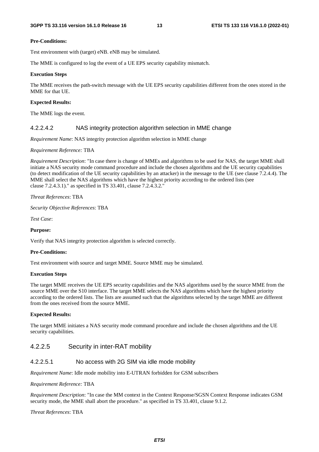#### **Pre-Conditions:**

Test environment with (target) eNB. eNB may be simulated.

The MME is configured to log the event of a UE EPS security capability mismatch.

#### **Execution Steps**

The MME receives the path-switch message with the UE EPS security capabilities different from the ones stored in the MME for that UE.

#### **Expected Results:**

The MME logs the event.

#### 4.2.2.4.2 NAS integrity protection algorithm selection in MME change

*Requirement Name*: NAS integrity protection algorithm selection in MME change

*Requirement Reference:* TBA

*Requirement Description*: "In case there is change of MMEs and algorithms to be used for NAS, the target MME shall initiate a NAS security mode command procedure and include the chosen algorithms and the UE security capabilities (to detect modification of the UE security capabilities by an attacker) in the message to the UE (see clause 7.2.4.4). The MME shall select the NAS algorithms which have the highest priority according to the ordered lists (see clause 7.2.4.3.1)." as specified in TS 33.401, clause 7.2.4.3.2."

*Threat References*: TBA

*Security Objective References*: TBA

*Test Case*:

#### **Purpose:**

Verify that NAS integrity protection algorithm is selected correctly.

#### **Pre-Conditions:**

Test environment with source and target MME. Source MME may be simulated.

#### **Execution Steps**

The target MME receives the UE EPS security capabilities and the NAS algorithms used by the source MME from the source MME over the S10 interface. The target MME selects the NAS algorithms which have the highest priority according to the ordered lists. The lists are assumed such that the algorithms selected by the target MME are different from the ones received from the source MME.

#### **Expected Results:**

The target MME initiates a NAS security mode command procedure and include the chosen algorithms and the UE security capabilities.

### 4.2.2.5 Security in inter-RAT mobility

#### 4.2.2.5.1 No access with 2G SIM via idle mode mobility

*Requirement Name*: Idle mode mobility into E-UTRAN forbidden for GSM subscribers

#### *Requirement Reference:* TBA

*Requirement Description*: "In case the MM context in the Context Response/SGSN Context Response indicates GSM security mode, the MME shall abort the procedure." as specified in TS 33.401, clause 9.1.2.

#### *Threat References*: TBA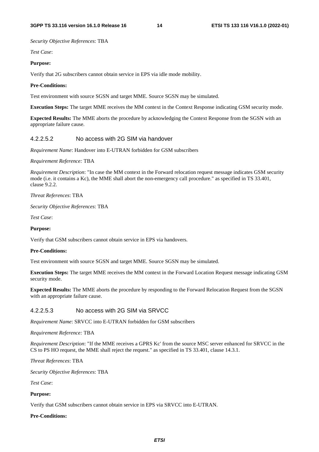*Security Objective References*: TBA

*Test Case*:

#### **Purpose:**

Verify that 2G subscribers cannot obtain service in EPS via idle mode mobility.

#### **Pre-Conditions:**

Test environment with source SGSN and target MME. Source SGSN may be simulated.

**Execution Steps:** The target MME receives the MM context in the Context Response indicating GSM security mode.

**Expected Results:** The MME aborts the procedure by acknowledging the Context Response from the SGSN with an appropriate failure cause.

#### 4.2.2.5.2 No access with 2G SIM via handover

*Requirement Name*: Handover into E-UTRAN forbidden for GSM subscribers

*Requirement Reference:* TBA

*Requirement Description*: "In case the MM context in the Forward relocation request message indicates GSM security mode (i.e. it contains a Kc), the MME shall abort the non-emergency call procedure." as specified in TS 33.401, clause 9.2.2.

*Threat References*: TBA

*Security Objective References*: TBA

*Test Case*:

#### **Purpose:**

Verify that GSM subscribers cannot obtain service in EPS via handovers.

#### **Pre-Conditions:**

Test environment with source SGSN and target MME. Source SGSN may be simulated.

**Execution Steps:** The target MME receives the MM context in the Forward Location Request message indicating GSM security mode.

**Expected Results:** The MME aborts the procedure by responding to the Forward Relocation Request from the SGSN with an appropriate failure cause.

#### 4.2.2.5.3 No access with 2G SIM via SRVCC

*Requirement Name*: SRVCC into E-UTRAN forbidden for GSM subscribers

*Requirement Reference:* TBA

*Requirement Description*: "If the MME receives a GPRS Kc' from the source MSC server enhanced for SRVCC in the CS to PS HO request, the MME shall reject the request." as specified in TS 33.401, clause 14.3.1.

*Threat References*: TBA

*Security Objective References*: TBA

*Test Case*:

#### **Purpose:**

Verify that GSM subscribers cannot obtain service in EPS via SRVCC into E-UTRAN.

#### **Pre-Conditions:**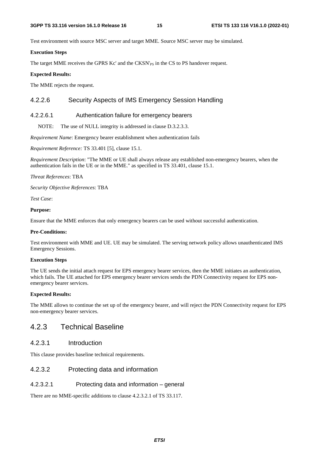Test environment with source MSC server and target MME. Source MSC server may be simulated.

### **Execution Steps**

The target MME receives the GPRS Kc' and the CKSN'<sub>PS</sub> in the CS to PS handover request.

### **Expected Results:**

The MME rejects the request.

# 4.2.2.6 Security Aspects of IMS Emergency Session Handling

# 4.2.2.6.1 Authentication failure for emergency bearers

NOTE: The use of NULL integrity is addressed in clause D.3.2.3.3.

*Requirement Name*: Emergency bearer establishment when authentication fails

*Requirement Reference:* TS 33.401 [5], clause 15.1.

*Requirement Description*: "The MME or UE shall always release any established non-emergency bearers, when the authentication fails in the UE or in the MME." as specified in TS 33.401, clause 15.1.

*Threat References*: TBA

*Security Objective References*: TBA

*Test Case*:

#### **Purpose:**

Ensure that the MME enforces that only emergency bearers can be used without successful authentication.

#### **Pre-Conditions:**

Test environment with MME and UE. UE may be simulated. The serving network policy allows unauthenticated IMS Emergency Sessions.

#### **Execution Steps**

The UE sends the initial attach request for EPS emergency bearer services, then the MME initiates an authentication, which fails. The UE attached for EPS emergency bearer services sends the PDN Connectivity request for EPS nonemergency bearer services.

#### **Expected Results:**

The MME allows to continue the set up of the emergency bearer, and will reject the PDN Connectivity request for EPS non-emergency bearer services.

# 4.2.3 Technical Baseline

### 4.2.3.1 Introduction

This clause provides baseline technical requirements.

### 4.2.3.2 Protecting data and information

### 4.2.3.2.1 Protecting data and information – general

There are no MME-specific additions to clause 4.2.3.2.1 of TS 33.117.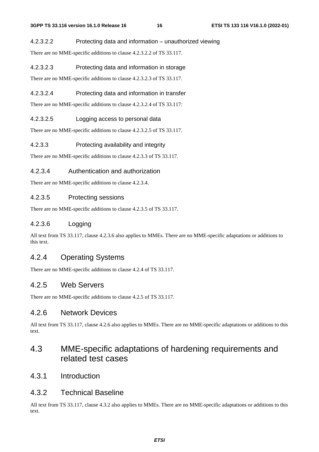### 4.2.3.2.2 Protecting data and information – unauthorized viewing

There are no MME-specific additions to clause 4.2.3.2.2 of TS 33.117.

### 4.2.3.2.3 Protecting data and information in storage

There are no MME-specific additions to clause 4.2.3.2.3 of TS 33.117.

### 4.2.3.2.4 Protecting data and information in transfer

There are no MME-specific additions to clause 4.2.3.2.4 of TS 33.117:

### 4.2.3.2.5 Logging access to personal data

There are no MME-specific additions to clause 4.2.3.2.5 of TS 33.117.

### 4.2.3.3 Protecting availability and integrity

There are no MME-specific additions to clause 4.2.3.3 of TS 33.117.

### 4.2.3.4 Authentication and authorization

There are no MME-specific additions to clause 4.2.3.4.

### 4.2.3.5 Protecting sessions

There are no MME-specific additions to clause 4.2.3.5 of TS 33.117.

## 4.2.3.6 Logging

All text from TS 33.117, clause 4.2.3.6 also applies to MMEs. There are no MME-specific adaptations or additions to this text.

# 4.2.4 Operating Systems

There are no MME-specific additions to clause 4.2.4 of TS 33.117.

# 4.2.5 Web Servers

There are no MME-specific additions to clause 4.2.5 of TS 33.117.

# 4.2.6 Network Devices

All text from TS 33.117, clause 4.2.6 also applies to MMEs. There are no MME-specific adaptations or additions to this text.

# 4.3 MME-specific adaptations of hardening requirements and related test cases

4.3.1 Introduction

# 4.3.2 Technical Baseline

All text from TS 33.117, clause 4.3.2 also applies to MMEs. There are no MME-specific adaptations or additions to this text.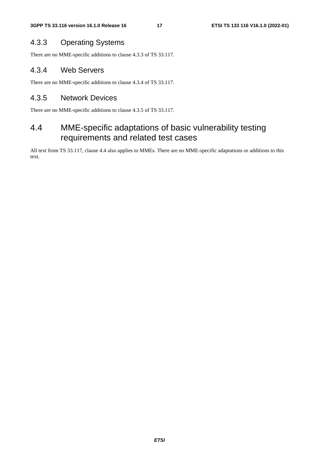# 4.3.3 Operating Systems

There are no MME-specific additions to clause 4.3.3 of TS 33.117.

# 4.3.4 Web Servers

There are no MME-specific additions to clause 4.3.4 of TS 33.117.

# 4.3.5 Network Devices

There are no MME-specific additions to clause 4.3.5 of TS 33.117.

# 4.4 MME-specific adaptations of basic vulnerability testing requirements and related test cases

All text from TS 33.117, clause 4.4 also applies to MMEs. There are no MME-specific adaptations or additions to this text.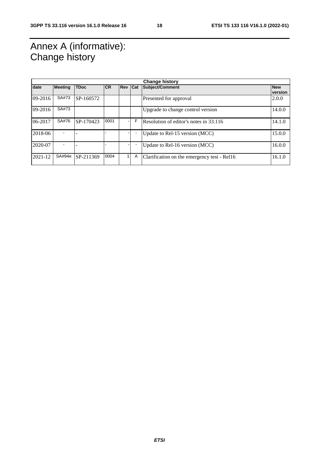# Annex A (informative): Change history

| <b>Change history</b> |                |             |      |                |   |                                             |                       |
|-----------------------|----------------|-------------|------|----------------|---|---------------------------------------------|-----------------------|
| date                  | <b>Meeting</b> | <b>TDoc</b> | ICR. | <b>Rev Cat</b> |   | <b>Subject/Comment</b>                      | <b>New</b><br>version |
| 09-2016               | SA#73          | SP-160572   |      |                |   | Presented for approval                      | 2.0.0                 |
| $09 - 2016$           | SA#73          |             |      |                |   | Upgrade to change control version           | 14.0.0                |
| 06-2017               | SA#76          | SP-170423   | 0001 |                | F | Resolution of editor's notes in 33.116      | 14.1.0                |
| 2018-06               |                |             |      |                |   | Update to Rel-15 version (MCC)              | 15.0.0                |
| 2020-07               |                |             |      |                |   | Update to Rel-16 version (MCC)              | 16.0.0                |
| 2021-12               | SA#94e         | SP-211369   | 0004 |                | A | Clarification on the emergency test - Rel16 | 16.1.0                |